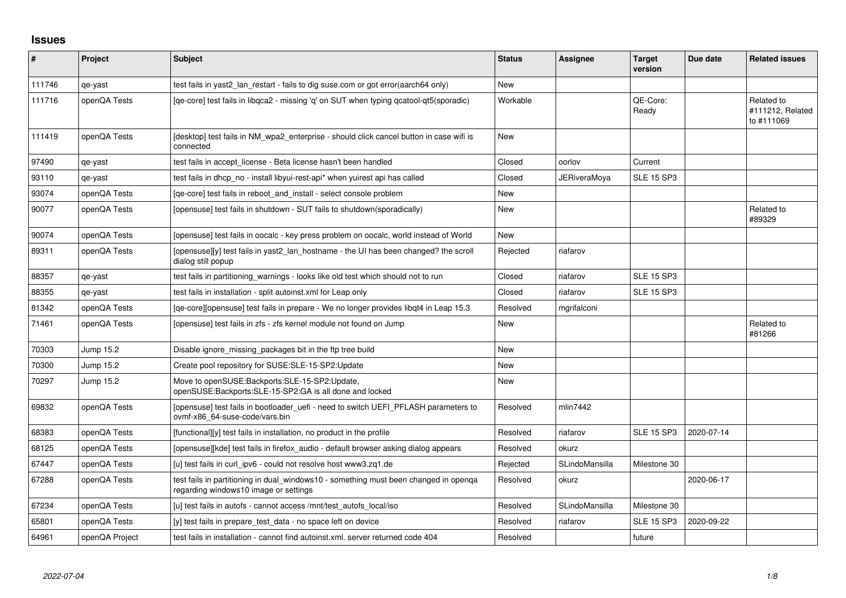## **Issues**

| ∦      | Project        | <b>Subject</b>                                                                                                                | <b>Status</b> | <b>Assignee</b>     | <b>Target</b><br>version | Due date   | <b>Related issues</b>                        |
|--------|----------------|-------------------------------------------------------------------------------------------------------------------------------|---------------|---------------------|--------------------------|------------|----------------------------------------------|
| 111746 | qe-yast        | test fails in yast2 lan restart - fails to dig suse.com or got error(aarch64 only)                                            | <b>New</b>    |                     |                          |            |                                              |
| 111716 | openQA Tests   | [qe-core] test fails in libqca2 - missing 'q' on SUT when typing qcatool-qt5(sporadic)                                        | Workable      |                     | OE-Core:<br>Ready        |            | Related to<br>#111212, Related<br>to #111069 |
| 111419 | openQA Tests   | [desktop] test fails in NM_wpa2_enterprise - should click cancel button in case wifi is<br>connected                          | <b>New</b>    |                     |                          |            |                                              |
| 97490  | qe-yast        | test fails in accept_license - Beta license hasn't been handled                                                               | Closed        | oorlov              | Current                  |            |                                              |
| 93110  | qe-yast        | test fails in dhcp no - install libyui-rest-api* when yuirest api has called                                                  | Closed        | <b>JERiveraMoya</b> | <b>SLE 15 SP3</b>        |            |                                              |
| 93074  | openQA Tests   | [qe-core] test fails in reboot_and_install - select console problem                                                           | New           |                     |                          |            |                                              |
| 90077  | openQA Tests   | [opensuse] test fails in shutdown - SUT fails to shutdown(sporadically)                                                       | <b>New</b>    |                     |                          |            | Related to<br>#89329                         |
| 90074  | openQA Tests   | [opensuse] test fails in oocalc - key press problem on oocalc, world instead of World                                         | <b>New</b>    |                     |                          |            |                                              |
| 89311  | openQA Tests   | [opensuse][y] test fails in yast2 lan hostname - the UI has been changed? the scroll<br>dialog still popup                    | Rejected      | riafarov            |                          |            |                                              |
| 88357  | qe-yast        | test fails in partitioning warnings - looks like old test which should not to run                                             | Closed        | riafarov            | <b>SLE 15 SP3</b>        |            |                                              |
| 88355  | qe-yast        | test fails in installation - split autoinst.xml for Leap only                                                                 | Closed        | riafarov            | <b>SLE 15 SP3</b>        |            |                                              |
| 81342  | openQA Tests   | [qe-core][opensuse] test fails in prepare - We no longer provides libqt4 in Leap 15.3                                         | Resolved      | mgrifalconi         |                          |            |                                              |
| 71461  | openQA Tests   | [opensuse] test fails in zfs - zfs kernel module not found on Jump                                                            | <b>New</b>    |                     |                          |            | Related to<br>#81266                         |
| 70303  | Jump 15.2      | Disable ignore missing packages bit in the ftp tree build                                                                     | <b>New</b>    |                     |                          |            |                                              |
| 70300  | Jump 15.2      | Create pool repository for SUSE:SLE-15-SP2:Update                                                                             | <b>New</b>    |                     |                          |            |                                              |
| 70297  | Jump 15.2      | Move to openSUSE:Backports:SLE-15-SP2:Update,<br>openSUSE:Backports:SLE-15-SP2:GA is all done and locked                      | <b>New</b>    |                     |                          |            |                                              |
| 69832  | openQA Tests   | Topensuse] test fails in bootloader uefi - need to switch UEFI PFLASH parameters to<br>ovmf-x86 64-suse-code/vars.bin         | Resolved      | mlin7442            |                          |            |                                              |
| 68383  | openQA Tests   | [functional][y] test fails in installation, no product in the profile                                                         | Resolved      | riafarov            | <b>SLE 15 SP3</b>        | 2020-07-14 |                                              |
| 68125  | openQA Tests   | [opensuse][kde] test fails in firefox audio - default browser asking dialog appears                                           | Resolved      | okurz               |                          |            |                                              |
| 67447  | openQA Tests   | [u] test fails in curl_ipv6 - could not resolve host www3.zq1.de                                                              | Rejected      | SLindoMansilla      | Milestone 30             |            |                                              |
| 67288  | openQA Tests   | test fails in partitioning in dual windows10 - something must been changed in openga<br>regarding windows10 image or settings | Resolved      | okurz               |                          | 2020-06-17 |                                              |
| 67234  | openQA Tests   | [u] test fails in autofs - cannot access /mnt/test_autofs_local/iso                                                           | Resolved      | SLindoMansilla      | Milestone 30             |            |                                              |
| 65801  | openQA Tests   | [y] test fails in prepare test data - no space left on device                                                                 | Resolved      | riafarov            | <b>SLE 15 SP3</b>        | 2020-09-22 |                                              |
| 64961  | openQA Project | test fails in installation - cannot find autoinst.xml. server returned code 404                                               | Resolved      |                     | future                   |            |                                              |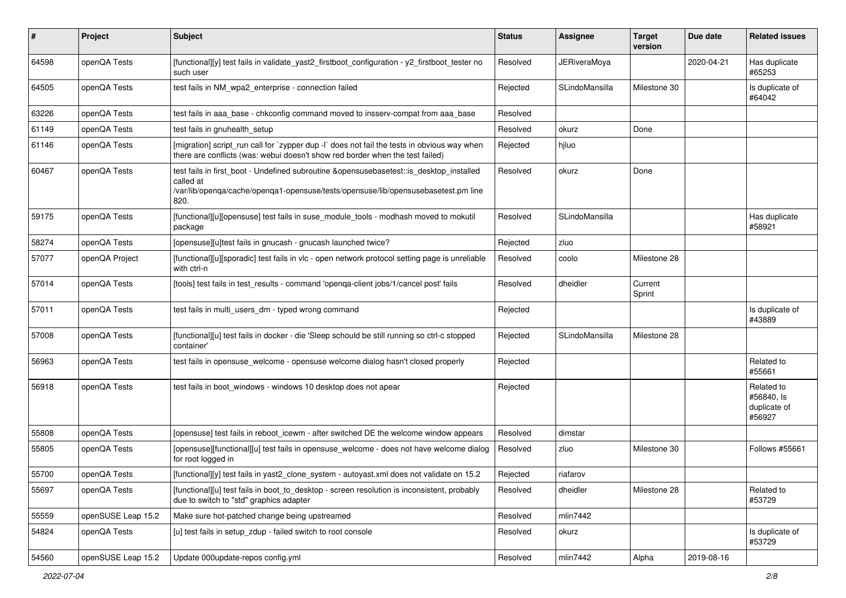| #     | Project            | Subject                                                                                                                                                                                            | <b>Status</b> | <b>Assignee</b>     | <b>Target</b><br>version | Due date   | <b>Related issues</b>                              |
|-------|--------------------|----------------------------------------------------------------------------------------------------------------------------------------------------------------------------------------------------|---------------|---------------------|--------------------------|------------|----------------------------------------------------|
| 64598 | openQA Tests       | [functional][y] test fails in validate_yast2_firstboot_configuration - y2_firstboot_tester no<br>such user                                                                                         | Resolved      | <b>JERiveraMoya</b> |                          | 2020-04-21 | Has duplicate<br>#65253                            |
| 64505 | openQA Tests       | test fails in NM_wpa2_enterprise - connection failed                                                                                                                                               | Rejected      | SLindoMansilla      | Milestone 30             |            | Is duplicate of<br>#64042                          |
| 63226 | openQA Tests       | test fails in aaa base - chkconfig command moved to insserv-compat from aaa base                                                                                                                   | Resolved      |                     |                          |            |                                                    |
| 61149 | openQA Tests       | test fails in gnuhealth setup                                                                                                                                                                      | Resolved      | okurz               | Done                     |            |                                                    |
| 61146 | openQA Tests       | [migration] script_run call for `zypper dup -I` does not fail the tests in obvious way when<br>there are conflicts (was: webui doesn't show red border when the test failed)                       | Rejected      | hjluo               |                          |            |                                                    |
| 60467 | openQA Tests       | test fails in first_boot - Undefined subroutine &opensusebasetest::is_desktop_installed<br>called at<br>/var/lib/openqa/cache/openqa1-opensuse/tests/opensuse/lib/opensusebasetest.pm line<br>820. | Resolved      | okurz               | Done                     |            |                                                    |
| 59175 | openQA Tests       | [functional][u][opensuse] test fails in suse_module_tools - modhash moved to mokutil<br>package                                                                                                    | Resolved      | SLindoMansilla      |                          |            | Has duplicate<br>#58921                            |
| 58274 | openQA Tests       | [opensuse][u]test fails in gnucash - gnucash launched twice?                                                                                                                                       | Rejected      | zluo                |                          |            |                                                    |
| 57077 | openQA Project     | [functional][u][sporadic] test fails in vlc - open network protocol setting page is unreliable<br>with ctrl-n                                                                                      | Resolved      | coolo               | Milestone 28             |            |                                                    |
| 57014 | openQA Tests       | [tools] test fails in test_results - command 'openga-client jobs/1/cancel post' fails                                                                                                              | Resolved      | dheidler            | Current<br>Sprint        |            |                                                    |
| 57011 | openQA Tests       | test fails in multi_users_dm - typed wrong command                                                                                                                                                 | Rejected      |                     |                          |            | Is duplicate of<br>#43889                          |
| 57008 | openQA Tests       | [functional][u] test fails in docker - die 'Sleep schould be still running so ctrl-c stopped<br>container'                                                                                         | Rejected      | SLindoMansilla      | Milestone 28             |            |                                                    |
| 56963 | openQA Tests       | test fails in opensuse welcome - opensuse welcome dialog hasn't closed properly                                                                                                                    | Rejected      |                     |                          |            | Related to<br>#55661                               |
| 56918 | openQA Tests       | test fails in boot windows - windows 10 desktop does not apear                                                                                                                                     | Rejected      |                     |                          |            | Related to<br>#56840, Is<br>duplicate of<br>#56927 |
| 55808 | openQA Tests       | [opensuse] test fails in reboot_icewm - after switched DE the welcome window appears                                                                                                               | Resolved      | dimstar             |                          |            |                                                    |
| 55805 | openQA Tests       | [opensuse][functional][u] test fails in opensuse_welcome - does not have welcome dialog<br>for root logged in                                                                                      | Resolved      | zluo                | Milestone 30             |            | Follows #55661                                     |
| 55700 | openQA Tests       | [functional][y] test fails in yast2_clone_system - autoyast.xml does not validate on 15.2                                                                                                          | Rejected      | riafarov            |                          |            |                                                    |
| 55697 | openQA Tests       | [functional][u] test fails in boot_to_desktop - screen resolution is inconsistent, probably<br>due to switch to "std" graphics adapter                                                             | Resolved      | dheidler            | Milestone 28             |            | Related to<br>#53729                               |
| 55559 | openSUSE Leap 15.2 | Make sure hot-patched change being upstreamed                                                                                                                                                      | Resolved      | mlin7442            |                          |            |                                                    |
| 54824 | openQA Tests       | [u] test fails in setup_zdup - failed switch to root console                                                                                                                                       | Resolved      | okurz               |                          |            | Is duplicate of<br>#53729                          |
| 54560 | openSUSE Leap 15.2 | Update 000update-repos config.yml                                                                                                                                                                  | Resolved      | mlin7442            | Alpha                    | 2019-08-16 |                                                    |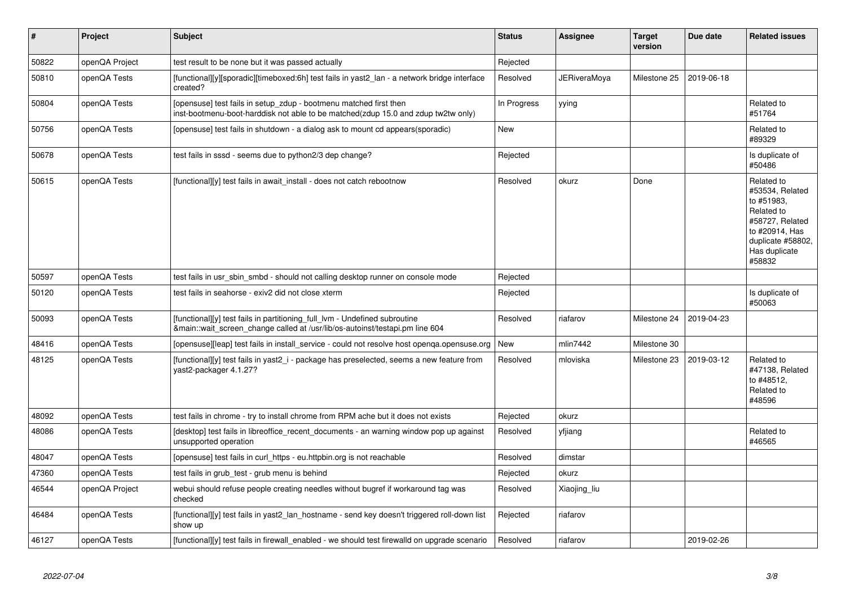| #     | Project        | <b>Subject</b>                                                                                                                                             | <b>Status</b> | Assignee            | <b>Target</b><br>version | Due date   | <b>Related issues</b>                                                                                                                          |
|-------|----------------|------------------------------------------------------------------------------------------------------------------------------------------------------------|---------------|---------------------|--------------------------|------------|------------------------------------------------------------------------------------------------------------------------------------------------|
| 50822 | openQA Project | test result to be none but it was passed actually                                                                                                          | Rejected      |                     |                          |            |                                                                                                                                                |
| 50810 | openQA Tests   | [functional][y][sporadic][timeboxed:6h] test fails in yast2 lan - a network bridge interface<br>created?                                                   | Resolved      | <b>JERiveraMova</b> | Milestone 25             | 2019-06-18 |                                                                                                                                                |
| 50804 | openQA Tests   | [opensuse] test fails in setup zdup - bootmenu matched first then<br>inst-bootmenu-boot-harddisk not able to be matched(zdup 15.0 and zdup tw2tw only)     | In Progress   | yying               |                          |            | Related to<br>#51764                                                                                                                           |
| 50756 | openQA Tests   | (opensuse) test fails in shutdown - a dialog ask to mount cd appears(sporadic)                                                                             | <b>New</b>    |                     |                          |            | Related to<br>#89329                                                                                                                           |
| 50678 | openQA Tests   | test fails in sssd - seems due to python2/3 dep change?                                                                                                    | Rejected      |                     |                          |            | Is duplicate of<br>#50486                                                                                                                      |
| 50615 | openQA Tests   | [functional][y] test fails in await install - does not catch rebootnow                                                                                     | Resolved      | okurz               | Done                     |            | Related to<br>#53534, Related<br>to #51983,<br>Related to<br>#58727, Related<br>to #20914. Has<br>duplicate #58802,<br>Has duplicate<br>#58832 |
| 50597 | openQA Tests   | test fails in usr sbin smbd - should not calling desktop runner on console mode                                                                            | Rejected      |                     |                          |            |                                                                                                                                                |
| 50120 | openQA Tests   | test fails in seahorse - exiv2 did not close xterm                                                                                                         | Rejected      |                     |                          |            | Is duplicate of<br>#50063                                                                                                                      |
| 50093 | openQA Tests   | [functional][y] test fails in partitioning_full_lvm - Undefined subroutine<br>&main::wait screen change called at /usr/lib/os-autoinst/testapi.pm line 604 | Resolved      | riafarov            | Milestone 24             | 2019-04-23 |                                                                                                                                                |
| 48416 | openQA Tests   | [opensuse][leap] test fails in install service - could not resolve host openga.opensuse.org                                                                | <b>New</b>    | mlin7442            | Milestone 30             |            |                                                                                                                                                |
| 48125 | openQA Tests   | [functional][y] test fails in yast2_i - package has preselected, seems a new feature from<br>vast2-packager 4.1.27?                                        | Resolved      | mloviska            | Milestone 23             | 2019-03-12 | Related to<br>#47138, Related<br>to #48512.<br>Related to<br>#48596                                                                            |
| 48092 | openQA Tests   | test fails in chrome - try to install chrome from RPM ache but it does not exists                                                                          | Rejected      | okurz               |                          |            |                                                                                                                                                |
| 48086 | openQA Tests   | [desktop] test fails in libreoffice recent documents - an warning window pop up against<br>unsupported operation                                           | Resolved      | yfjiang             |                          |            | Related to<br>#46565                                                                                                                           |
| 48047 | openQA Tests   | [opensuse] test fails in curl https - eu.httpbin.org is not reachable                                                                                      | Resolved      | dimstar             |                          |            |                                                                                                                                                |
| 47360 | openQA Tests   | test fails in grub test - grub menu is behind                                                                                                              | Rejected      | okurz               |                          |            |                                                                                                                                                |
| 46544 | openQA Project | webui should refuse people creating needles without bugref if workaround tag was<br>checked                                                                | Resolved      | Xiaojing liu        |                          |            |                                                                                                                                                |
| 46484 | openQA Tests   | [functional][y] test fails in yast2 lan hostname - send key doesn't triggered roll-down list<br>show up                                                    | Rejected      | riafarov            |                          |            |                                                                                                                                                |
| 46127 | openQA Tests   | [functional][y] test fails in firewall enabled - we should test firewalld on upgrade scenario                                                              | Resolved      | riafarov            |                          | 2019-02-26 |                                                                                                                                                |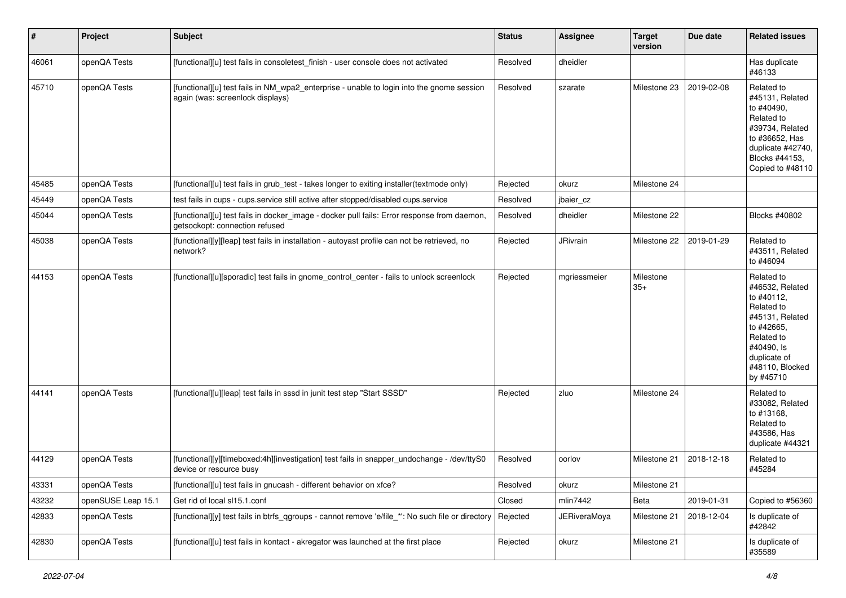| $\sharp$ | Project            | Subject                                                                                                                       | <b>Status</b> | <b>Assignee</b>     | <b>Target</b><br>version | Due date   | <b>Related issues</b>                                                                                                                                                  |
|----------|--------------------|-------------------------------------------------------------------------------------------------------------------------------|---------------|---------------------|--------------------------|------------|------------------------------------------------------------------------------------------------------------------------------------------------------------------------|
| 46061    | openQA Tests       | [functional][u] test fails in consoletest_finish - user console does not activated                                            | Resolved      | dheidler            |                          |            | Has duplicate<br>#46133                                                                                                                                                |
| 45710    | openQA Tests       | [functional][u] test fails in NM_wpa2_enterprise - unable to login into the gnome session<br>again (was: screenlock displays) | Resolved      | szarate             | Milestone 23             | 2019-02-08 | Related to<br>#45131, Related<br>to #40490,<br>Related to<br>#39734, Related<br>to #36652, Has<br>duplicate #42740,<br>Blocks #44153,<br>Copied to #48110              |
| 45485    | openQA Tests       | [functional][u] test fails in grub_test - takes longer to exiting installer(textmode only)                                    | Rejected      | okurz               | Milestone 24             |            |                                                                                                                                                                        |
| 45449    | openQA Tests       | test fails in cups - cups.service still active after stopped/disabled cups.service                                            | Resolved      | jbaier_cz           |                          |            |                                                                                                                                                                        |
| 45044    | openQA Tests       | [functional][u] test fails in docker_image - docker pull fails: Error response from daemon,<br>getsockopt: connection refused | Resolved      | dheidler            | Milestone 22             |            | Blocks #40802                                                                                                                                                          |
| 45038    | openQA Tests       | [functional][y][leap] test fails in installation - autoyast profile can not be retrieved, no<br>network?                      | Rejected      | <b>JRivrain</b>     | Milestone 22             | 2019-01-29 | Related to<br>#43511, Related<br>to #46094                                                                                                                             |
| 44153    | openQA Tests       | [functional][u][sporadic] test fails in gnome_control_center - fails to unlock screenlock                                     | Rejected      | mgriessmeier        | Milestone<br>$35+$       |            | Related to<br>#46532, Related<br>to #40112,<br>Related to<br>#45131, Related<br>to #42665,<br>Related to<br>#40490, Is<br>duplicate of<br>#48110, Blocked<br>by #45710 |
| 44141    | openQA Tests       | [functional][u][leap] test fails in sssd in junit test step "Start SSSD"                                                      | Rejected      | zluo                | Milestone 24             |            | Related to<br>#33082, Related<br>to #13168,<br>Related to<br>#43586, Has<br>duplicate #44321                                                                           |
| 44129    | openQA Tests       | [functional][y][timeboxed:4h][investigation] test fails in snapper_undochange - /dev/ttyS0<br>device or resource busy         | Resolved      | oorlov              | Milestone 21             | 2018-12-18 | Related to<br>#45284                                                                                                                                                   |
| 43331    | openQA Tests       | [functional][u] test fails in gnucash - different behavior on xfce?                                                           | Resolved      | okurz               | Milestone 21             |            |                                                                                                                                                                        |
| 43232    | openSUSE Leap 15.1 | Get rid of local sl15.1.conf                                                                                                  | Closed        | mlin7442            | Beta                     | 2019-01-31 | Copied to #56360                                                                                                                                                       |
| 42833    | openQA Tests       | [functional][y] test fails in btrfs_qgroups - cannot remove 'e/file_*': No such file or directory                             | Rejected      | <b>JERiveraMoya</b> | Milestone 21             | 2018-12-04 | Is duplicate of<br>#42842                                                                                                                                              |
| 42830    | openQA Tests       | [functional][u] test fails in kontact - akregator was launched at the first place                                             | Rejected      | okurz               | Milestone 21             |            | Is duplicate of<br>#35589                                                                                                                                              |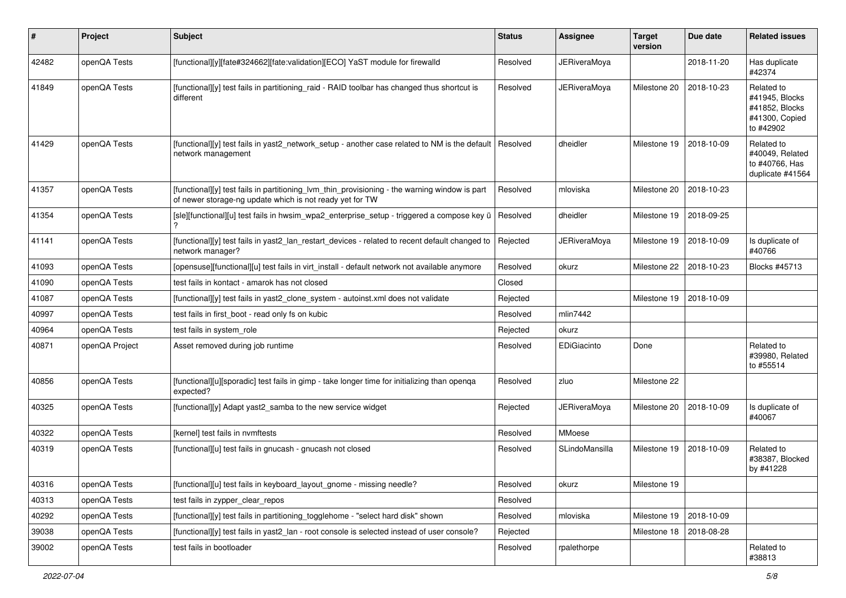| #     | Project        | Subject                                                                                                                                                   | <b>Status</b> | <b>Assignee</b>     | <b>Target</b><br>version | Due date   | <b>Related issues</b>                                                         |
|-------|----------------|-----------------------------------------------------------------------------------------------------------------------------------------------------------|---------------|---------------------|--------------------------|------------|-------------------------------------------------------------------------------|
| 42482 | openQA Tests   | [functional][y][fate#324662][fate:validation][ECO] YaST module for firewalld                                                                              | Resolved      | <b>JERiveraMoya</b> |                          | 2018-11-20 | Has duplicate<br>#42374                                                       |
| 41849 | openQA Tests   | [functional][y] test fails in partitioning_raid - RAID toolbar has changed thus shortcut is<br>different                                                  | Resolved      | <b>JERiveraMoya</b> | Milestone 20             | 2018-10-23 | Related to<br>#41945, Blocks<br>#41852, Blocks<br>#41300, Copied<br>to #42902 |
| 41429 | openQA Tests   | [functional][y] test fails in yast2_network_setup - another case related to NM is the default<br>network management                                       | Resolved      | dheidler            | Milestone 19             | 2018-10-09 | Related to<br>#40049, Related<br>to #40766, Has<br>duplicate #41564           |
| 41357 | openQA Tests   | [functional][y] test fails in partitioning_lvm_thin_provisioning - the warning window is part<br>of newer storage-ng update which is not ready yet for TW | Resolved      | mloviska            | Milestone 20             | 2018-10-23 |                                                                               |
| 41354 | openQA Tests   | [sle][functional][u] test fails in hwsim_wpa2_enterprise_setup - triggered a compose key ü                                                                | Resolved      | dheidler            | Milestone 19             | 2018-09-25 |                                                                               |
| 41141 | openQA Tests   | [functional][y] test fails in yast2_lan_restart_devices - related to recent default changed to<br>network manager?                                        | Rejected      | <b>JERiveraMoya</b> | Milestone 19             | 2018-10-09 | Is duplicate of<br>#40766                                                     |
| 41093 | openQA Tests   | [opensuse][functional][u] test fails in virt_install - default network not available anymore                                                              | Resolved      | okurz               | Milestone 22             | 2018-10-23 | Blocks #45713                                                                 |
| 41090 | openQA Tests   | test fails in kontact - amarok has not closed                                                                                                             | Closed        |                     |                          |            |                                                                               |
| 41087 | openQA Tests   | [functional][y] test fails in yast2_clone_system - autoinst.xml does not validate                                                                         | Rejected      |                     | Milestone 19             | 2018-10-09 |                                                                               |
| 40997 | openQA Tests   | test fails in first_boot - read only fs on kubic                                                                                                          | Resolved      | mlin7442            |                          |            |                                                                               |
| 40964 | openQA Tests   | test fails in system role                                                                                                                                 | Rejected      | okurz               |                          |            |                                                                               |
| 40871 | openQA Project | Asset removed during job runtime                                                                                                                          | Resolved      | EDiGiacinto         | Done                     |            | Related to<br>#39980, Related<br>to #55514                                    |
| 40856 | openQA Tests   | [functional][u][sporadic] test fails in gimp - take longer time for initializing than openqa<br>expected?                                                 | Resolved      | zluo                | Milestone 22             |            |                                                                               |
| 40325 | openQA Tests   | [functional][y] Adapt yast2_samba to the new service widget                                                                                               | Rejected      | <b>JERiveraMoya</b> | Milestone 20             | 2018-10-09 | Is duplicate of<br>#40067                                                     |
| 40322 | openQA Tests   | [kernel] test fails in nvmftests                                                                                                                          | Resolved      | MMoese              |                          |            |                                                                               |
| 40319 | openQA Tests   | [functional][u] test fails in gnucash - gnucash not closed                                                                                                | Resolved      | SLindoMansilla      | Milestone 19             | 2018-10-09 | Related to<br>#38387, Blocked<br>by #41228                                    |
| 40316 | openQA Tests   | [functional][u] test fails in keyboard_layout_gnome - missing needle?                                                                                     | Resolved      | okurz               | Milestone 19             |            |                                                                               |
| 40313 | openQA Tests   | test fails in zypper_clear_repos                                                                                                                          | Resolved      |                     |                          |            |                                                                               |
| 40292 | openQA Tests   | [functional][y] test fails in partitioning_togglehome - "select hard disk" shown                                                                          | Resolved      | mloviska            | Milestone 19             | 2018-10-09 |                                                                               |
| 39038 | openQA Tests   | [functional][y] test fails in yast2_lan - root console is selected instead of user console?                                                               | Rejected      |                     | Milestone 18             | 2018-08-28 |                                                                               |
| 39002 | openQA Tests   | test fails in bootloader                                                                                                                                  | Resolved      | rpalethorpe         |                          |            | Related to<br>#38813                                                          |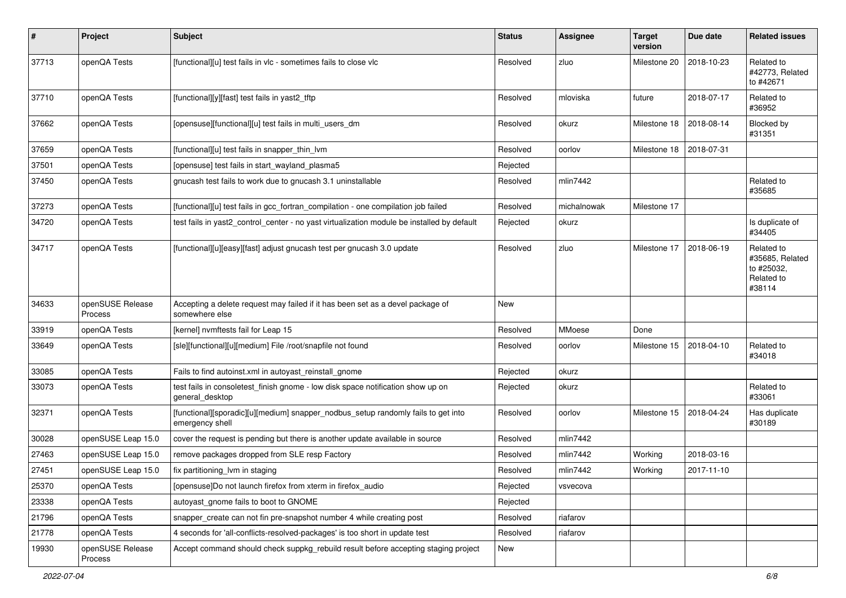| $\sharp$ | Project                     | <b>Subject</b>                                                                                       | <b>Status</b> | Assignee    | <b>Target</b><br>version | Due date   | <b>Related issues</b>                                               |
|----------|-----------------------------|------------------------------------------------------------------------------------------------------|---------------|-------------|--------------------------|------------|---------------------------------------------------------------------|
| 37713    | openQA Tests                | [functional][u] test fails in vlc - sometimes fails to close vlc                                     | Resolved      | zluo        | Milestone 20             | 2018-10-23 | Related to<br>#42773, Related<br>to #42671                          |
| 37710    | openQA Tests                | [functional][y][fast] test fails in yast2_tftp                                                       | Resolved      | mloviska    | future                   | 2018-07-17 | Related to<br>#36952                                                |
| 37662    | openQA Tests                | [opensuse][functional][u] test fails in multi_users_dm                                               | Resolved      | okurz       | Milestone 18             | 2018-08-14 | Blocked by<br>#31351                                                |
| 37659    | openQA Tests                | [functional][u] test fails in snapper_thin_lvm                                                       | Resolved      | oorlov      | Milestone 18             | 2018-07-31 |                                                                     |
| 37501    | openQA Tests                | [opensuse] test fails in start_wayland_plasma5                                                       | Rejected      |             |                          |            |                                                                     |
| 37450    | openQA Tests                | gnucash test fails to work due to gnucash 3.1 uninstallable                                          | Resolved      | mlin7442    |                          |            | Related to<br>#35685                                                |
| 37273    | openQA Tests                | [functional][u] test fails in gcc_fortran_compilation - one compilation job failed                   | Resolved      | michalnowak | Milestone 17             |            |                                                                     |
| 34720    | openQA Tests                | test fails in yast2_control_center - no yast virtualization module be installed by default           | Rejected      | okurz       |                          |            | Is duplicate of<br>#34405                                           |
| 34717    | openQA Tests                | [functional][u][easy][fast] adjust gnucash test per gnucash 3.0 update                               | Resolved      | zluo        | Milestone 17             | 2018-06-19 | Related to<br>#35685, Related<br>to #25032,<br>Related to<br>#38114 |
| 34633    | openSUSE Release<br>Process | Accepting a delete request may failed if it has been set as a devel package of<br>somewhere else     | New           |             |                          |            |                                                                     |
| 33919    | openQA Tests                | [kernel] nvmftests fail for Leap 15                                                                  | Resolved      | MMoese      | Done                     |            |                                                                     |
| 33649    | openQA Tests                | [sle][functional][u][medium] File /root/snapfile not found                                           | Resolved      | oorlov      | Milestone 15             | 2018-04-10 | Related to<br>#34018                                                |
| 33085    | openQA Tests                | Fails to find autoinst.xml in autoyast_reinstall_gnome                                               | Rejected      | okurz       |                          |            |                                                                     |
| 33073    | openQA Tests                | test fails in consoletest_finish gnome - low disk space notification show up on<br>general_desktop   | Rejected      | okurz       |                          |            | Related to<br>#33061                                                |
| 32371    | openQA Tests                | [functional][sporadic][u][medium] snapper_nodbus_setup randomly fails to get into<br>emergency shell | Resolved      | oorlov      | Milestone 15             | 2018-04-24 | Has duplicate<br>#30189                                             |
| 30028    | openSUSE Leap 15.0          | cover the request is pending but there is another update available in source                         | Resolved      | mlin7442    |                          |            |                                                                     |
| 27463    | openSUSE Leap 15.0          | remove packages dropped from SLE resp Factory                                                        | Resolved      | mlin7442    | Working                  | 2018-03-16 |                                                                     |
| 27451    | openSUSE Leap 15.0          | fix partitioning_lvm in staging                                                                      | Resolved      | mlin7442    | Working                  | 2017-11-10 |                                                                     |
| 25370    | openQA Tests                | [opensuse]Do not launch firefox from xterm in firefox_audio                                          | Rejected      | vsvecova    |                          |            |                                                                     |
| 23338    | openQA Tests                | autoyast_gnome fails to boot to GNOME                                                                | Rejected      |             |                          |            |                                                                     |
| 21796    | openQA Tests                | snapper_create can not fin pre-snapshot number 4 while creating post                                 | Resolved      | riafarov    |                          |            |                                                                     |
| 21778    | openQA Tests                | 4 seconds for 'all-conflicts-resolved-packages' is too short in update test                          | Resolved      | riafarov    |                          |            |                                                                     |
| 19930    | openSUSE Release<br>Process | Accept command should check suppkg_rebuild result before accepting staging project                   | New           |             |                          |            |                                                                     |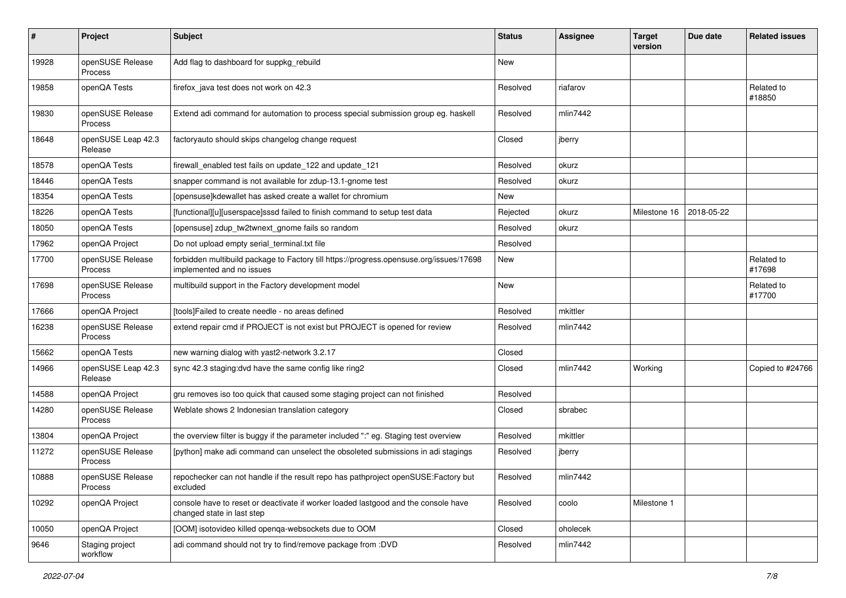| #     | Project                            | <b>Subject</b>                                                                                                       | <b>Status</b> | <b>Assignee</b> | <b>Target</b><br>version | Due date   | <b>Related issues</b> |
|-------|------------------------------------|----------------------------------------------------------------------------------------------------------------------|---------------|-----------------|--------------------------|------------|-----------------------|
| 19928 | openSUSE Release<br>Process        | Add flag to dashboard for suppkg_rebuild                                                                             | New           |                 |                          |            |                       |
| 19858 | openQA Tests                       | firefox java test does not work on 42.3                                                                              | Resolved      | riafarov        |                          |            | Related to<br>#18850  |
| 19830 | openSUSE Release<br>Process        | Extend adi command for automation to process special submission group eg. haskell                                    | Resolved      | mlin7442        |                          |            |                       |
| 18648 | openSUSE Leap 42.3<br>Release      | factoryauto should skips changelog change request                                                                    | Closed        | jberry          |                          |            |                       |
| 18578 | openQA Tests                       | firewall_enabled test fails on update_122 and update_121                                                             | Resolved      | okurz           |                          |            |                       |
| 18446 | openQA Tests                       | snapper command is not available for zdup-13.1-gnome test                                                            | Resolved      | okurz           |                          |            |                       |
| 18354 | openQA Tests                       | [opensuse]kdewallet has asked create a wallet for chromium                                                           | New           |                 |                          |            |                       |
| 18226 | openQA Tests                       | [functional][u][userspace]sssd failed to finish command to setup test data                                           | Rejected      | okurz           | Milestone 16             | 2018-05-22 |                       |
| 18050 | openQA Tests                       | [opensuse] zdup_tw2twnext_gnome fails so random                                                                      | Resolved      | okurz           |                          |            |                       |
| 17962 | openQA Project                     | Do not upload empty serial terminal.txt file                                                                         | Resolved      |                 |                          |            |                       |
| 17700 | openSUSE Release<br><b>Process</b> | forbidden multibuild package to Factory till https://progress.opensuse.org/issues/17698<br>implemented and no issues | New           |                 |                          |            | Related to<br>#17698  |
| 17698 | openSUSE Release<br><b>Process</b> | multibuild support in the Factory development model                                                                  | New           |                 |                          |            | Related to<br>#17700  |
| 17666 | openQA Project                     | [tools]Failed to create needle - no areas defined                                                                    | Resolved      | mkittler        |                          |            |                       |
| 16238 | openSUSE Release<br>Process        | extend repair cmd if PROJECT is not exist but PROJECT is opened for review                                           | Resolved      | mlin7442        |                          |            |                       |
| 15662 | openQA Tests                       | new warning dialog with yast2-network 3.2.17                                                                         | Closed        |                 |                          |            |                       |
| 14966 | openSUSE Leap 42.3<br>Release      | sync 42.3 staging: dvd have the same config like ring2                                                               | Closed        | mlin7442        | Working                  |            | Copied to #24766      |
| 14588 | openQA Project                     | gru removes iso too quick that caused some staging project can not finished                                          | Resolved      |                 |                          |            |                       |
| 14280 | openSUSE Release<br>Process        | Weblate shows 2 Indonesian translation category                                                                      | Closed        | sbrabec         |                          |            |                       |
| 13804 | openQA Project                     | the overview filter is buggy if the parameter included ":" eg. Staging test overview                                 | Resolved      | mkittler        |                          |            |                       |
| 11272 | openSUSE Release<br>Process        | [python] make adi command can unselect the obsoleted submissions in adi stagings                                     | Resolved      | jberry          |                          |            |                       |
| 10888 | openSUSE Release<br>Process        | repochecker can not handle if the result repo has pathproject openSUSE:Factory but<br>excluded                       | Resolved      | mlin7442        |                          |            |                       |
| 10292 | openQA Project                     | console have to reset or deactivate if worker loaded lastgood and the console have<br>changed state in last step     | Resolved      | coolo           | Milestone 1              |            |                       |
| 10050 | openQA Project                     | [OOM] isotovideo killed openga-websockets due to OOM                                                                 | Closed        | oholecek        |                          |            |                       |
| 9646  | Staging project<br>workflow        | adi command should not try to find/remove package from :DVD                                                          | Resolved      | mlin7442        |                          |            |                       |